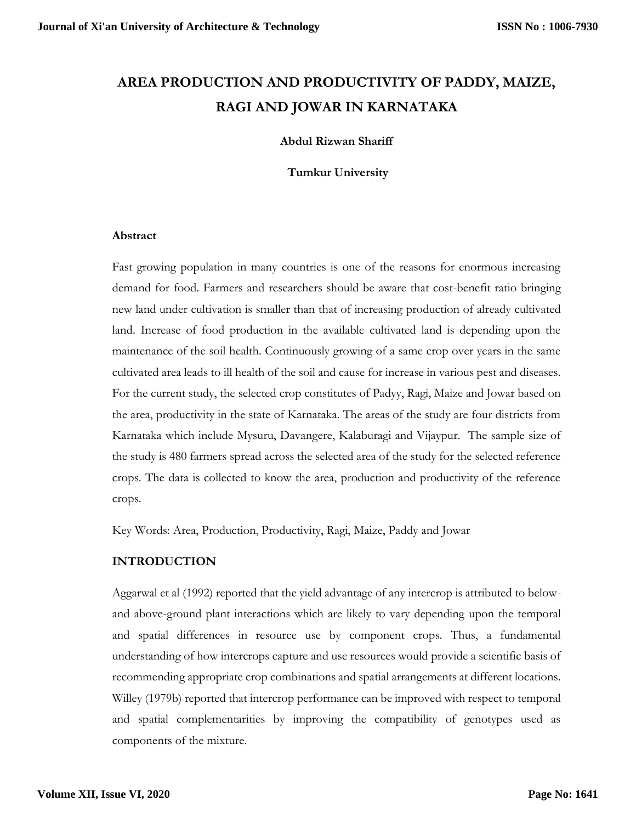# **AREA PRODUCTION AND PRODUCTIVITY OF PADDY, MAIZE, RAGI AND JOWAR IN KARNATAKA**

## **Abdul Rizwan Shariff**

**Tumkur University**

### **Abstract**

Fast growing population in many countries is one of the reasons for enormous increasing demand for food. Farmers and researchers should be aware that cost-benefit ratio bringing new land under cultivation is smaller than that of increasing production of already cultivated land. Increase of food production in the available cultivated land is depending upon the maintenance of the soil health. Continuously growing of a same crop over years in the same cultivated area leads to ill health of the soil and cause for increase in various pest and diseases. For the current study, the selected crop constitutes of Padyy, Ragi, Maize and Jowar based on the area, productivity in the state of Karnataka. The areas of the study are four districts from Karnataka which include Mysuru, Davangere, Kalaburagi and Vijaypur. The sample size of the study is 480 farmers spread across the selected area of the study for the selected reference crops. The data is collected to know the area, production and productivity of the reference crops.

Key Words: Area, Production, Productivity, Ragi, Maize, Paddy and Jowar

# **INTRODUCTION**

Aggarwal et al (1992) reported that the yield advantage of any intercrop is attributed to belowand above-ground plant interactions which are likely to vary depending upon the temporal and spatial differences in resource use by component crops. Thus, a fundamental understanding of how intercrops capture and use resources would provide a scientific basis of recommending appropriate crop combinations and spatial arrangements at different locations. Willey (1979b) reported that intercrop performance can be improved with respect to temporal and spatial complementarities by improving the compatibility of genotypes used as components of the mixture.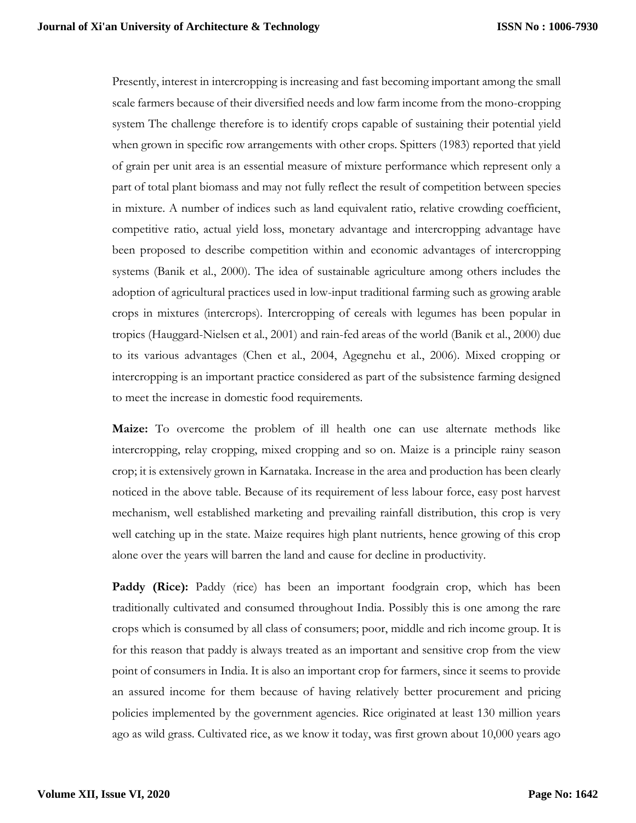Presently, interest in intercropping is increasing and fast becoming important among the small scale farmers because of their diversified needs and low farm income from the mono-cropping system The challenge therefore is to identify crops capable of sustaining their potential yield when grown in specific row arrangements with other crops. Spitters (1983) reported that yield of grain per unit area is an essential measure of mixture performance which represent only a part of total plant biomass and may not fully reflect the result of competition between species in mixture. A number of indices such as land equivalent ratio, relative crowding coefficient, competitive ratio, actual yield loss, monetary advantage and intercropping advantage have been proposed to describe competition within and economic advantages of intercropping systems (Banik et al., 2000). The idea of sustainable agriculture among others includes the adoption of agricultural practices used in low-input traditional farming such as growing arable crops in mixtures (intercrops). Intercropping of cereals with legumes has been popular in tropics (Hauggard-Nielsen et al., 2001) and rain-fed areas of the world (Banik et al., 2000) due to its various advantages (Chen et al., 2004, Agegnehu et al., 2006). Mixed cropping or intercropping is an important practice considered as part of the subsistence farming designed to meet the increase in domestic food requirements.

**Maize:** To overcome the problem of ill health one can use alternate methods like intercropping, relay cropping, mixed cropping and so on. Maize is a principle rainy season crop; it is extensively grown in Karnataka. Increase in the area and production has been clearly noticed in the above table. Because of its requirement of less labour force, easy post harvest mechanism, well established marketing and prevailing rainfall distribution, this crop is very well catching up in the state. Maize requires high plant nutrients, hence growing of this crop alone over the years will barren the land and cause for decline in productivity.

**Paddy (Rice):** Paddy (rice) has been an important foodgrain crop, which has been traditionally cultivated and consumed throughout India. Possibly this is one among the rare crops which is consumed by all class of consumers; poor, middle and rich income group. It is for this reason that paddy is always treated as an important and sensitive crop from the view point of consumers in India. It is also an important crop for farmers, since it seems to provide an assured income for them because of having relatively better procurement and pricing policies implemented by the government agencies. Rice originated at least 130 million years ago as wild grass. Cultivated rice, as we know it today, was first grown about 10,000 years ago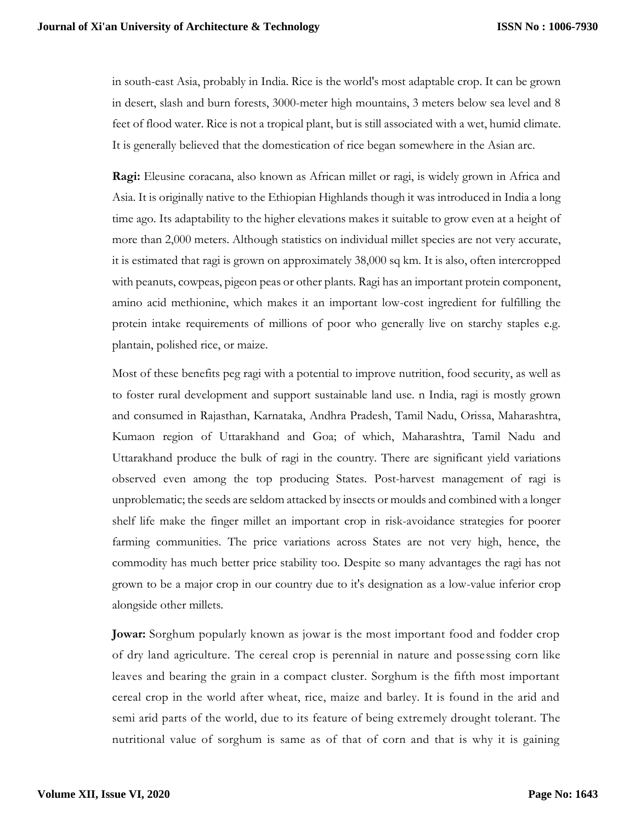in south-east Asia, probably in India. Rice is the world's most adaptable crop. It can be grown in desert, slash and burn forests, 3000-meter high mountains, 3 meters below sea level and 8 feet of flood water. Rice is not a tropical plant, but is still associated with a wet, humid climate. It is generally believed that the domestication of rice began somewhere in the Asian arc.

**Ragi:** Eleusine coracana, also known as African millet or ragi, is widely grown in Africa and Asia. It is originally native to the Ethiopian Highlands though it was introduced in India a long time ago. Its adaptability to the higher elevations makes it suitable to grow even at a height of more than 2,000 meters. Although statistics on individual millet species are not very accurate, it is estimated that ragi is grown on approximately 38,000 sq km. It is also, often intercropped with peanuts, cowpeas, pigeon peas or other plants. Ragi has an important protein component, amino acid methionine, which makes it an important low-cost ingredient for fulfilling the protein intake requirements of millions of poor who generally live on starchy staples e.g. plantain, polished rice, or maize.

Most of these benefits peg ragi with a potential to improve nutrition, food security, as well as to foster rural development and support sustainable land use. n India, ragi is mostly grown and consumed in Rajasthan, Karnataka, Andhra Pradesh, Tamil Nadu, Orissa, Maharashtra, Kumaon region of Uttarakhand and Goa; of which, Maharashtra, Tamil Nadu and Uttarakhand produce the bulk of ragi in the country. There are significant yield variations observed even among the top producing States. Post-harvest management of ragi is unproblematic; the seeds are seldom attacked by insects or moulds and combined with a longer shelf life make the finger millet an important crop in risk-avoidance strategies for poorer farming communities. The price variations across States are not very high, hence, the commodity has much better price stability too. Despite so many advantages the ragi has not grown to be a major crop in our country due to it's designation as a low-value inferior crop alongside other millets.

**Jowar:** Sorghum popularly known as jowar is the most important food and fodder crop of dry land agriculture. The cereal crop is perennial in nature and possessing corn like leaves and bearing the grain in a compact cluster. Sorghum is the fifth most important cereal crop in the world after wheat, rice, maize and barley. It is found in the arid and semi arid parts of the world, due to its feature of being extremely drought tolerant. The nutritional value of sorghum is same as of that of corn and that is why it is gaining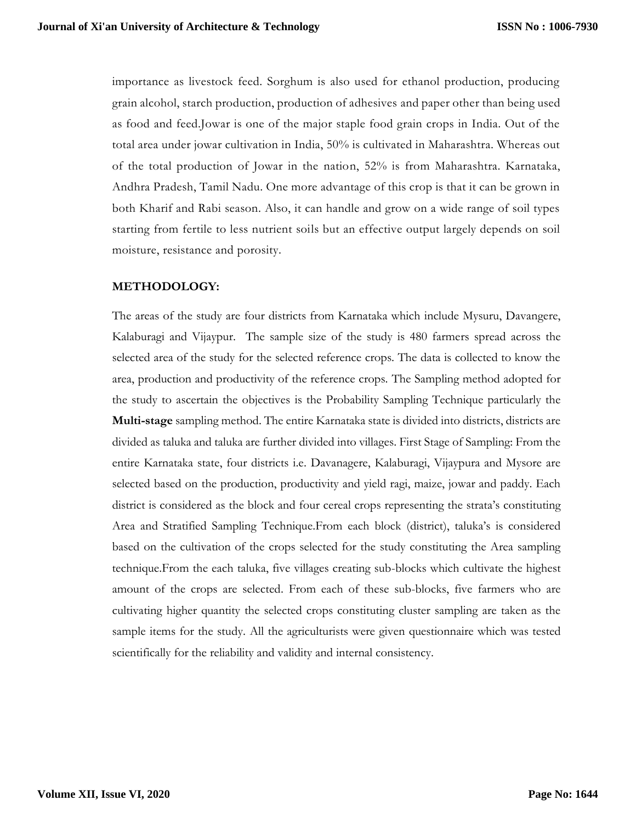importance as livestock feed. Sorghum is also used for ethanol production, producing grain alcohol, starch production, production of adhesives and paper other than being used as food and feed.Jowar is one of the major staple food grain crops in India. Out of the total area under jowar cultivation in India, 50% is cultivated in Maharashtra. Whereas out of the total production of Jowar in the nation, 52% is from Maharashtra. Karnataka, Andhra Pradesh, Tamil Nadu. One more advantage of this crop is that it can be grown in both Kharif and Rabi season. Also, it can handle and grow on a wide range of soil types starting from fertile to less nutrient soils but an effective output largely depends on soil moisture, resistance and porosity.

# **METHODOLOGY:**

The areas of the study are four districts from Karnataka which include Mysuru, Davangere, Kalaburagi and Vijaypur. The sample size of the study is 480 farmers spread across the selected area of the study for the selected reference crops. The data is collected to know the area, production and productivity of the reference crops. The Sampling method adopted for the study to ascertain the objectives is the Probability Sampling Technique particularly the **Multi-stage** sampling method. The entire Karnataka state is divided into districts, districts are divided as taluka and taluka are further divided into villages. First Stage of Sampling: From the entire Karnataka state, four districts i.e. Davanagere, Kalaburagi, Vijaypura and Mysore are selected based on the production, productivity and yield ragi, maize, jowar and paddy. Each district is considered as the block and four cereal crops representing the strata's constituting Area and Stratified Sampling Technique.From each block (district), taluka's is considered based on the cultivation of the crops selected for the study constituting the Area sampling technique.From the each taluka, five villages creating sub-blocks which cultivate the highest amount of the crops are selected. From each of these sub-blocks, five farmers who are cultivating higher quantity the selected crops constituting cluster sampling are taken as the sample items for the study. All the agriculturists were given questionnaire which was tested scientifically for the reliability and validity and internal consistency.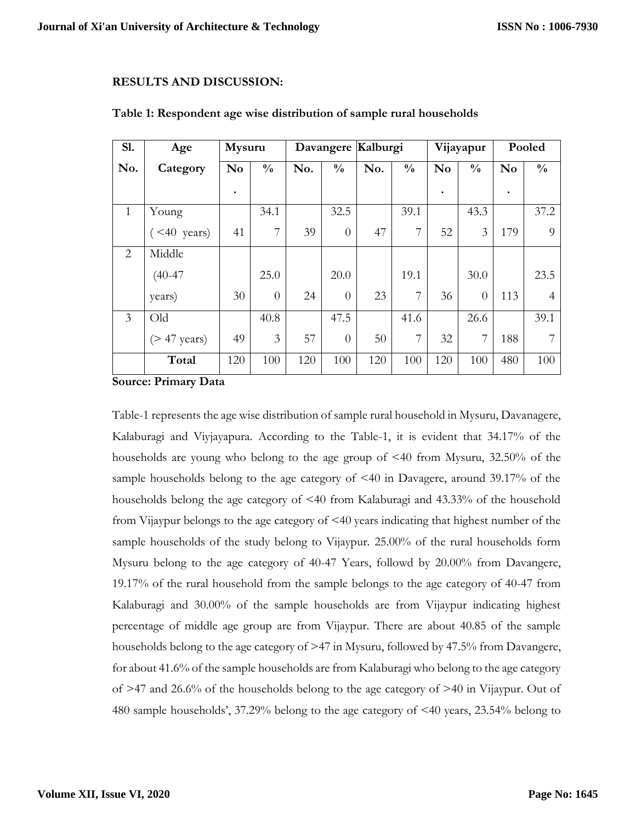#### **RESULTS AND DISCUSSION:**

| <b>S1.</b>     | Age             | Mysuru    |               |     |                | Davangere Kalburgi |               | Vijayapur      |               | Pooled         |                |
|----------------|-----------------|-----------|---------------|-----|----------------|--------------------|---------------|----------------|---------------|----------------|----------------|
| No.            | Category        | No        | $\frac{0}{0}$ | No. | $\frac{0}{0}$  | No.                | $\frac{0}{0}$ | N <sub>0</sub> | $\frac{0}{0}$ | N <sub>o</sub> | $\frac{0}{0}$  |
|                |                 | $\bullet$ |               |     |                |                    |               |                |               | ٠              |                |
| 1              | Young           |           | 34.1          |     | 32.5           |                    | 39.1          |                | 43.3          |                | 37.2           |
|                | $($ <40 years)  | 41        | 7             | 39  | $\theta$       | 47                 | 7             | 52             | 3             | 179            | 9              |
| 2              | Middle          |           |               |     |                |                    |               |                |               |                |                |
|                | $(40 - 47)$     |           | 25.0          |     | 20.0           |                    | 19.1          |                | 30.0          |                | 23.5           |
|                | years)          | 30        | $\theta$      | 24  | $\overline{0}$ | 23                 | 7             | 36             | $\theta$      | 113            | $\overline{4}$ |
| $\mathfrak{Z}$ | Old             |           | 40.8          |     | 47.5           |                    | 41.6          |                | 26.6          |                | 39.1           |
|                | $($ > 47 years) | 49        | 3             | 57  | $\overline{0}$ | 50                 | 7             | 32             | 7             | 188            | 7              |
|                | Total           | 120       | 100           | 120 | 100            | 120                | 100           | 120            | 100           | 480            | 100            |

#### **Table 1: Respondent age wise distribution of sample rural households**

**Source: Primary Data**

Table-1 represents the age wise distribution of sample rural household in Mysuru, Davanagere, Kalaburagi and Viyjayapura. According to the Table-1, it is evident that 34.17% of the households are young who belong to the age group of <40 from Mysuru, 32.50% of the sample households belong to the age category of <40 in Davagere, around 39.17% of the households belong the age category of <40 from Kalaburagi and 43.33% of the household from Vijaypur belongs to the age category of  $\leq 40$  years indicating that highest number of the sample households of the study belong to Vijaypur. 25.00% of the rural households form Mysuru belong to the age category of 40-47 Years, followd by 20.00% from Davangere, 19.17% of the rural household from the sample belongs to the age category of 40-47 from Kalaburagi and 30.00% of the sample households are from Vijaypur indicating highest percentage of middle age group are from Vijaypur. There are about 40.85 of the sample households belong to the age category of  $\geq$ 47 in Mysuru, followed by 47.5% from Davangere, for about 41.6% of the sample households are from Kalaburagi who belong to the age category of >47 and 26.6% of the households belong to the age category of >40 in Vijaypur. Out of 480 sample households', 37.29% belong to the age category of <40 years, 23.54% belong to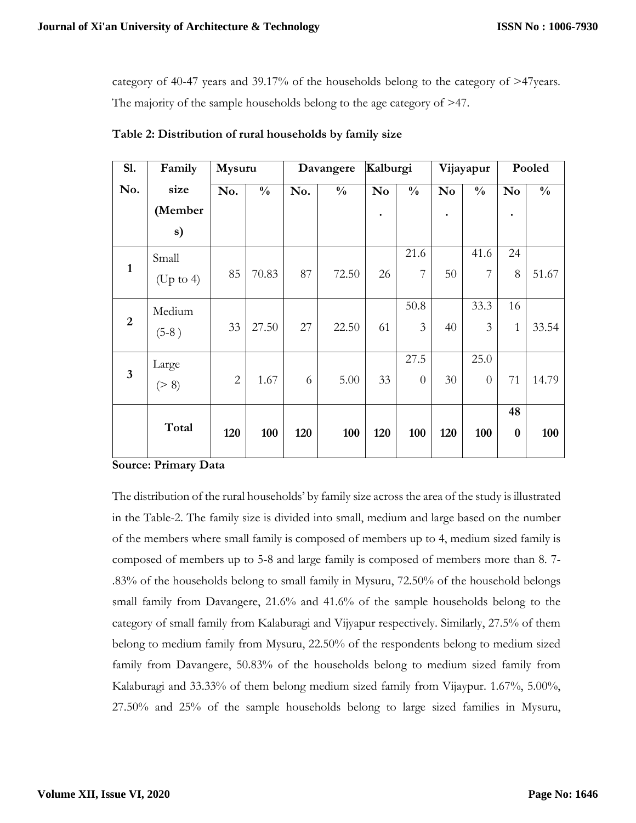category of 40-47 years and 39.17% of the households belong to the category of >47years. The majority of the sample households belong to the age category of >47.

| S1.            | Family               | Mysuru         |               | Davangere |               | Kalburgi       |                | Vijayapur              |                | Pooled         |               |
|----------------|----------------------|----------------|---------------|-----------|---------------|----------------|----------------|------------------------|----------------|----------------|---------------|
| No.            | size                 | No.            | $\frac{0}{0}$ | No.       | $\frac{0}{0}$ | N <sub>0</sub> | $\frac{0}{0}$  | $\mathbf{N}\mathbf{o}$ | $\frac{0}{0}$  | N <sub>o</sub> | $\frac{0}{0}$ |
|                | (Member              |                |               |           |               | ٠              |                | $\bullet$              |                | $\bullet$      |               |
|                | s)                   |                |               |           |               |                |                |                        |                |                |               |
|                | Small                |                |               |           |               |                | 21.6           |                        | 41.6           | 24             |               |
| $\mathbf{1}$   | $(Up \text{ to } 4)$ | 85             | 70.83         | 87        | 72.50         | 26             | 7              | 50                     | $\overline{7}$ | 8              | 51.67         |
|                | Medium               |                |               |           |               |                | 50.8           |                        | 33.3           | 16             |               |
| $\overline{2}$ | $(5-8)$              | 33             | 27.50         | 27        | 22.50         | 61             | 3              | 40                     | 3              | $\mathbf{1}$   | 33.54         |
|                | Large                |                |               |           |               |                | 27.5           |                        | 25.0           |                |               |
| $\overline{3}$ | ( > 8)               | $\overline{2}$ | 1.67          | 6         | 5.00          | 33             | $\overline{0}$ | 30                     | $\theta$       | 71             | 14.79         |
|                |                      |                |               |           |               |                |                |                        |                | 48             |               |
|                | Total                | 120            | 100           | 120       | 100           | 120            | 100            | 120                    | 100            | $\bf{0}$       | 100           |

**Table 2: Distribution of rural households by family size**

#### **Source: Primary Data**

The distribution of the rural households' by family size across the area of the study is illustrated in the Table-2. The family size is divided into small, medium and large based on the number of the members where small family is composed of members up to 4, medium sized family is composed of members up to 5-8 and large family is composed of members more than 8. 7- .83% of the households belong to small family in Mysuru, 72.50% of the household belongs small family from Davangere, 21.6% and 41.6% of the sample households belong to the category of small family from Kalaburagi and Vijyapur respectively. Similarly, 27.5% of them belong to medium family from Mysuru, 22.50% of the respondents belong to medium sized family from Davangere, 50.83% of the households belong to medium sized family from Kalaburagi and 33.33% of them belong medium sized family from Vijaypur. 1.67%, 5.00%, 27.50% and 25% of the sample households belong to large sized families in Mysuru,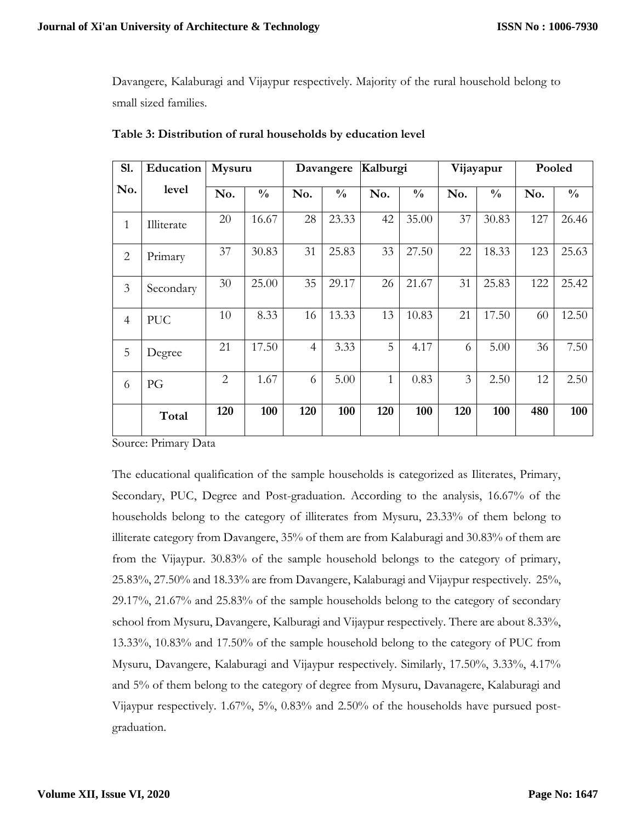Davangere, Kalaburagi and Vijaypur respectively. Majority of the rural household belong to small sized families.

| S1.            | Education  | Mysuru         |               | Davangere      |               | Kalburgi     |               |     | Vijayapur     | Pooled |               |  |
|----------------|------------|----------------|---------------|----------------|---------------|--------------|---------------|-----|---------------|--------|---------------|--|
| No.            | level      | No.            | $\frac{0}{0}$ | No.            | $\frac{0}{0}$ | No.          | $\frac{0}{0}$ | No. | $\frac{0}{0}$ | No.    | $\frac{0}{0}$ |  |
| $\mathbf{1}$   | Illiterate | 20             | 16.67         | 28             | 23.33         | 42           | 35.00         | 37  | 30.83         | 127    | 26.46         |  |
| $\overline{2}$ | Primary    | 37             | 30.83         | 31             | 25.83         | 33           | 27.50         | 22  | 18.33         | 123    | 25.63         |  |
| 3              | Secondary  | 30             | 25.00         | 35             | 29.17         | 26           | 21.67         | 31  | 25.83         | 122    | 25.42         |  |
| $\overline{4}$ | <b>PUC</b> | 10             | 8.33          | 16             | 13.33         | 13           | 10.83         | 21  | 17.50         | 60     | 12.50         |  |
| 5              | Degree     | 21             | 17.50         | $\overline{4}$ | 3.33          | 5            | 4.17          | 6   | 5.00          | 36     | 7.50          |  |
| 6              | PG         | $\overline{2}$ | 1.67          | 6              | 5.00          | $\mathbf{1}$ | 0.83          | 3   | 2.50          | 12     | 2.50          |  |
|                | Total      | 120            | 100           | 120            | 100           | 120          | 100           | 120 | 100           | 480    | 100           |  |

**Table 3: Distribution of rural households by education level**

Source: Primary Data

The educational qualification of the sample households is categorized as Iliterates, Primary, Secondary, PUC, Degree and Post-graduation. According to the analysis, 16.67% of the households belong to the category of illiterates from Mysuru, 23.33% of them belong to illiterate category from Davangere, 35% of them are from Kalaburagi and 30.83% of them are from the Vijaypur. 30.83% of the sample household belongs to the category of primary, 25.83%, 27.50% and 18.33% are from Davangere, Kalaburagi and Vijaypur respectively. 25%, 29.17%, 21.67% and 25.83% of the sample households belong to the category of secondary school from Mysuru, Davangere, Kalburagi and Vijaypur respectively. There are about 8.33%, 13.33%, 10.83% and 17.50% of the sample household belong to the category of PUC from Mysuru, Davangere, Kalaburagi and Vijaypur respectively. Similarly, 17.50%, 3.33%, 4.17% and 5% of them belong to the category of degree from Mysuru, Davanagere, Kalaburagi and Vijaypur respectively. 1.67%, 5%, 0.83% and 2.50% of the households have pursued postgraduation.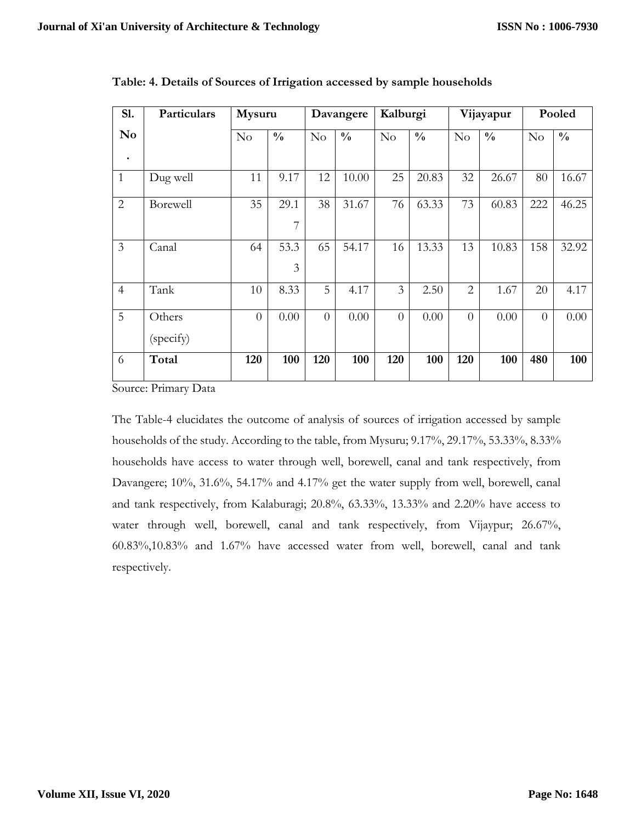| Sl.            | Particulars | Mysuru         |               |                | Davangere     |                | Kalburgi      |                | Vijayapur     |                | Pooled        |  |
|----------------|-------------|----------------|---------------|----------------|---------------|----------------|---------------|----------------|---------------|----------------|---------------|--|
| N <sub>0</sub> |             | No             | $\frac{0}{0}$ | No             | $\frac{0}{0}$ | No             | $\frac{0}{0}$ | No             | $\frac{0}{0}$ | No             | $\frac{0}{0}$ |  |
| $\bullet$      |             |                |               |                |               |                |               |                |               |                |               |  |
| $\mathbf{1}$   | Dug well    | 11             | 9.17          | 12             | 10.00         | 25             | 20.83         | 32             | 26.67         | 80             | 16.67         |  |
| $\overline{2}$ | Borewell    | 35             | 29.1          | 38             | 31.67         | 76             | 63.33         | 73             | 60.83         | 222            | 46.25         |  |
|                |             |                | 7             |                |               |                |               |                |               |                |               |  |
| 3              | Canal       | 64             | 53.3          | 65             | 54.17         | 16             | 13.33         | 13             | 10.83         | 158            | 32.92         |  |
|                |             |                | 3             |                |               |                |               |                |               |                |               |  |
| $\overline{4}$ | Tank        | 10             | 8.33          | 5              | 4.17          | 3              | 2.50          | $\overline{2}$ | 1.67          | 20             | 4.17          |  |
| 5              | Others      | $\overline{0}$ | 0.00          | $\overline{0}$ | 0.00          | $\overline{0}$ | 0.00          | $\theta$       | 0.00          | $\overline{0}$ | 0.00          |  |
|                | (specify)   |                |               |                |               |                |               |                |               |                |               |  |
| 6              | Total       | 120            | 100           | 120            | 100           | 120            | 100           | 120            | 100           | 480            | 100           |  |

**Table: 4. Details of Sources of Irrigation accessed by sample households**

Source: Primary Data

The Table-4 elucidates the outcome of analysis of sources of irrigation accessed by sample households of the study. According to the table, from Mysuru; 9.17%, 29.17%, 53.33%, 8.33% households have access to water through well, borewell, canal and tank respectively, from Davangere; 10%, 31.6%, 54.17% and 4.17% get the water supply from well, borewell, canal and tank respectively, from Kalaburagi; 20.8%, 63.33%, 13.33% and 2.20% have access to water through well, borewell, canal and tank respectively, from Vijaypur; 26.67%, 60.83%,10.83% and 1.67% have accessed water from well, borewell, canal and tank respectively.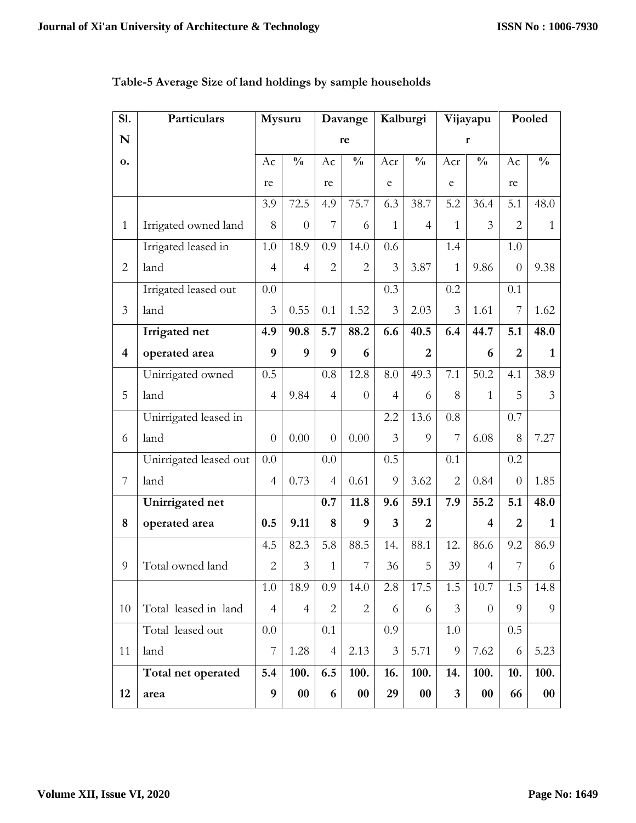| S1.                     | Particulars            | Mysuru         |                   | Davange        |                   | Kalburgi       |                | Vijayapu       |                         | Pooled         |                |
|-------------------------|------------------------|----------------|-------------------|----------------|-------------------|----------------|----------------|----------------|-------------------------|----------------|----------------|
| N                       |                        |                |                   |                | re                |                |                | r              |                         |                |                |
| о.                      |                        | Ac             | $\frac{0}{0}$     | Ac             | $\frac{0}{0}$     | Acr            | $\frac{0}{0}$  | Acr            | $\frac{0}{0}$           | Ac             | $\frac{0}{0}$  |
|                         |                        | re             |                   | re             |                   | e              |                | e              |                         | re             |                |
|                         |                        | 3.9            | 72.5              | 4.9            | 75.7              | 6.3            | 38.7           | 5.2            | 36.4                    | 5.1            | 48.0           |
| $\mathbf{1}$            | Irrigated owned land   | 8              | $\theta$          | 7              | 6                 | $\mathbf{1}$   | $\overline{4}$ | $\mathbf{1}$   | 3                       | $\overline{2}$ | $\mathbf{1}$   |
|                         | Irrigated leased in    | 1.0            | 18.9              | 0.9            | 14.0              | 0.6            |                | 1.4            |                         | 1.0            |                |
| $\overline{2}$          | land                   | $\overline{4}$ | $\overline{4}$    | $\overline{2}$ | $\overline{2}$    | 3              | 3.87           | 1              | 9.86                    | $\overline{0}$ | 9.38           |
|                         | Irrigated leased out   | 0.0            |                   |                |                   | 0.3            |                | 0.2            |                         | 0.1            |                |
| 3                       | land                   | 3              | 0.55              | 0.1            | 1.52              | 3              | 2.03           | 3              | 1.61                    | 7              | 1.62           |
|                         | Irrigated net          | 4.9            | 90.8              | 5.7            | 88.2              | 6.6            | 40.5           | 6.4            | 44.7                    | 5.1            | 48.0           |
| $\overline{\mathbf{4}}$ | operated area          | 9              | 9                 | 9              | 6                 |                | $\overline{2}$ |                | 6                       | $\overline{2}$ | 1              |
|                         | Unirrigated owned      | 0.5            |                   | 0.8            | 12.8              | 8.0            | 49.3           | 7.1            | 50.2                    | 4.1            | 38.9           |
| 5                       | land                   | $\overline{4}$ | 9.84              | $\overline{4}$ | $\overline{0}$    | $\overline{4}$ | 6              | 8              | $\mathbf{1}$            | 5              | $\overline{3}$ |
|                         | Unirrigated leased in  |                |                   |                |                   | 2.2            | 13.6           | 0.8            |                         | 0.7            |                |
| 6                       | land                   | $\theta$       | 0.00              | $\overline{0}$ | 0.00              | $\overline{3}$ | 9              | 7              | 6.08                    | 8              | 7.27           |
|                         | Unirrigated leased out | 0.0            |                   | 0.0            |                   | 0.5            |                | 0.1            |                         | 0.2            |                |
| $\overline{7}$          | land                   | $\overline{4}$ | 0.73              | $\overline{4}$ | 0.61              | 9              | 3.62           | $\overline{2}$ | 0.84                    | $\overline{0}$ | 1.85           |
|                         | Unirrigated net        |                |                   | 0.7            | 11.8              | 9.6            | 59.1           | 7.9            | 55.2                    | 5.1            | 48.0           |
| 8                       | operated area          | 0.5            | 9.11              | 8              | 9                 | 3              | $\overline{2}$ |                | $\overline{\mathbf{4}}$ | $\overline{2}$ | $\mathbf{1}$   |
|                         |                        | 4.5            | 82.3              | 5.8            | 88.5              | 14.            | 88.1           | 12.            | 86.6                    | 9.2            | 86.9           |
| 9                       | Total owned land       | $\overline{2}$ | 3                 | $\mathbf{1}$   | 7                 | 36             | 5              | 39             | 4                       | 7              | 6              |
|                         |                        | $1.0\,$        | 18.9              | 0.9            | 14.0              | 2.8            | 17.5           | 1.5            | 10.7                    | 1.5            | 14.8           |
| 10                      | Total leased in land   | $\overline{4}$ | $\overline{4}$    | $\mathbf{2}$   | $\overline{2}$    | 6              | 6              | 3              | $\theta$                | 9              | 9              |
|                         | Total leased out       | 0.0            |                   | 0.1            |                   | 0.9            |                | $1.0\,$        |                         | 0.5            |                |
| 11                      | land                   | 7              | 1.28              | $\overline{4}$ | 2.13              | 3              | 5.71           | 9              | 7.62                    | 6              | 5.23           |
|                         | Total net operated     | 5.4            | 100.              | 6.5            | 100.              | 16.            | 100.           | 14.            | 100.                    | 10.            | 100.           |
| 12                      | area                   | 9              | $\boldsymbol{00}$ | 6              | $\boldsymbol{00}$ | 29             | 00             | 3              | $\boldsymbol{00}$       | 66             | $\bf{00}$      |

# **Table-5 Average Size of land holdings by sample households**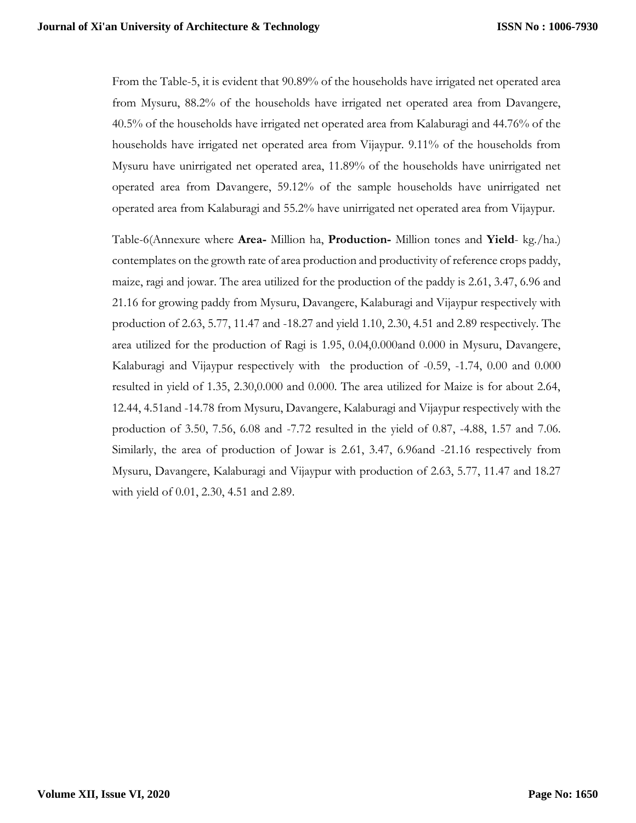From the Table-5, it is evident that 90.89% of the households have irrigated net operated area from Mysuru, 88.2% of the households have irrigated net operated area from Davangere, 40.5% of the households have irrigated net operated area from Kalaburagi and 44.76% of the households have irrigated net operated area from Vijaypur. 9.11% of the households from Mysuru have unirrigated net operated area, 11.89% of the households have unirrigated net operated area from Davangere, 59.12% of the sample households have unirrigated net operated area from Kalaburagi and 55.2% have unirrigated net operated area from Vijaypur.

Table-6(Annexure where **Area-** Million ha, **Production-** Million tones and **Yield**- kg./ha.) contemplates on the growth rate of area production and productivity of reference crops paddy, maize, ragi and jowar. The area utilized for the production of the paddy is 2.61, 3.47, 6.96 and 21.16 for growing paddy from Mysuru, Davangere, Kalaburagi and Vijaypur respectively with production of 2.63, 5.77, 11.47 and -18.27 and yield 1.10, 2.30, 4.51 and 2.89 respectively. The area utilized for the production of Ragi is 1.95, 0.04,0.000and 0.000 in Mysuru, Davangere, Kalaburagi and Vijaypur respectively with the production of -0.59, -1.74, 0.00 and 0.000 resulted in yield of 1.35, 2.30,0.000 and 0.000. The area utilized for Maize is for about 2.64, 12.44, 4.51and -14.78 from Mysuru, Davangere, Kalaburagi and Vijaypur respectively with the production of 3.50, 7.56, 6.08 and -7.72 resulted in the yield of 0.87, -4.88, 1.57 and 7.06. Similarly, the area of production of Jowar is 2.61, 3.47, 6.96and -21.16 respectively from Mysuru, Davangere, Kalaburagi and Vijaypur with production of 2.63, 5.77, 11.47 and 18.27 with yield of 0.01, 2.30, 4.51 and 2.89.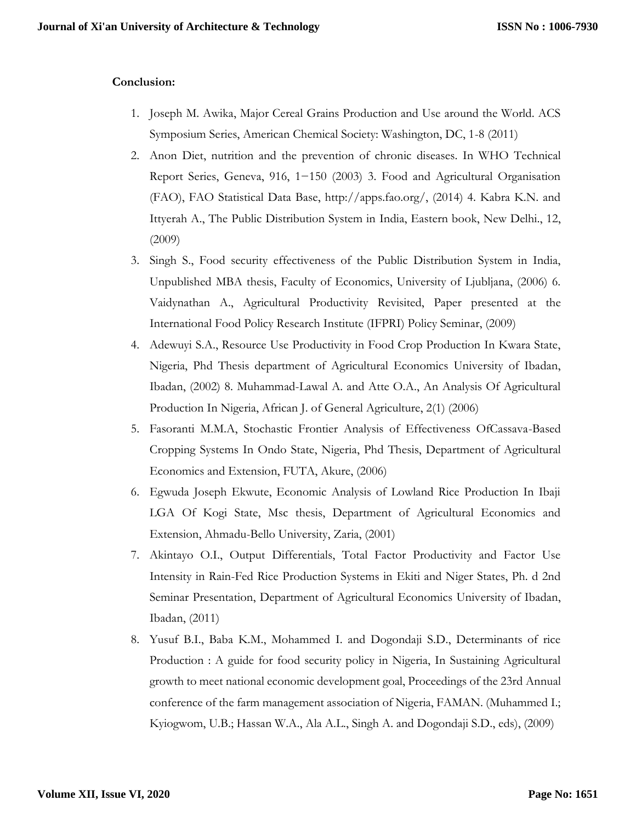## **Conclusion:**

- 1. Joseph M. Awika, Major Cereal Grains Production and Use around the World. ACS Symposium Series, American Chemical Society: Washington, DC, 1-8 (2011)
- 2. Anon Diet, nutrition and the prevention of chronic diseases. In WHO Technical Report Series, Geneva, 916, 1−150 (2003) 3. Food and Agricultural Organisation (FAO), FAO Statistical Data Base, http://apps.fao.org/, (2014) 4. Kabra K.N. and Ittyerah A., The Public Distribution System in India, Eastern book, New Delhi., 12, (2009)
- 3. Singh S., Food security effectiveness of the Public Distribution System in India, Unpublished MBA thesis, Faculty of Economics, University of Ljubljana, (2006) 6. Vaidynathan A., Agricultural Productivity Revisited, Paper presented at the International Food Policy Research Institute (IFPRI) Policy Seminar, (2009)
- 4. Adewuyi S.A., Resource Use Productivity in Food Crop Production In Kwara State, Nigeria, Phd Thesis department of Agricultural Economics University of Ibadan, Ibadan, (2002) 8. Muhammad-Lawal A. and Atte O.A., An Analysis Of Agricultural Production In Nigeria, African J. of General Agriculture, 2(1) (2006)
- 5. Fasoranti M.M.A, Stochastic Frontier Analysis of Effectiveness OfCassava-Based Cropping Systems In Ondo State, Nigeria, Phd Thesis, Department of Agricultural Economics and Extension, FUTA, Akure, (2006)
- 6. Egwuda Joseph Ekwute, Economic Analysis of Lowland Rice Production In Ibaji LGA Of Kogi State, Msc thesis, Department of Agricultural Economics and Extension, Ahmadu-Bello University, Zaria, (2001)
- 7. Akintayo O.I., Output Differentials, Total Factor Productivity and Factor Use Intensity in Rain-Fed Rice Production Systems in Ekiti and Niger States, Ph. d 2nd Seminar Presentation, Department of Agricultural Economics University of Ibadan, Ibadan, (2011)
- 8. Yusuf B.I., Baba K.M., Mohammed I. and Dogondaji S.D., Determinants of rice Production : A guide for food security policy in Nigeria, In Sustaining Agricultural growth to meet national economic development goal, Proceedings of the 23rd Annual conference of the farm management association of Nigeria, FAMAN. (Muhammed I.; Kyiogwom, U.B.; Hassan W.A., Ala A.L., Singh A. and Dogondaji S.D., eds), (2009)